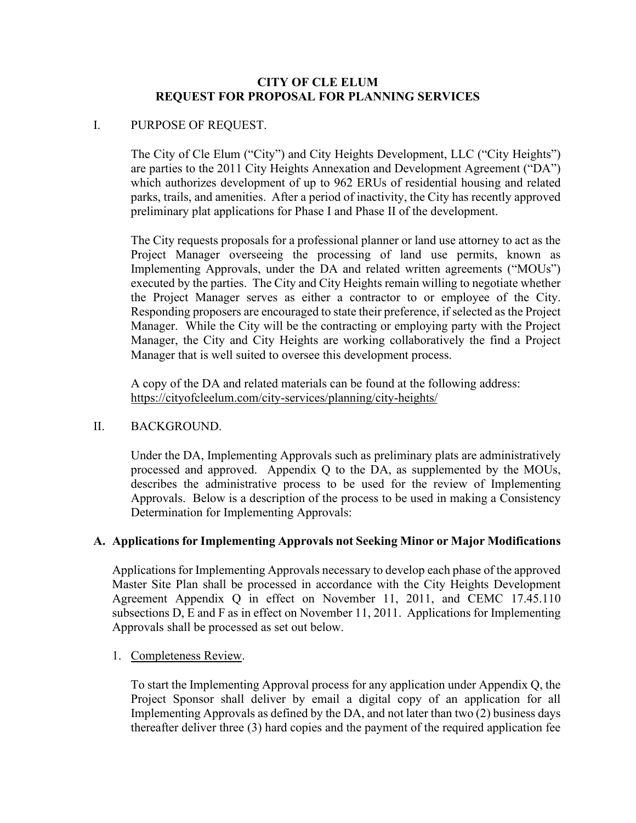## **CITY OF CLE ELUM REQUEST FOR PROPOSAL FOR PLANNING SERVICES**

# I. PURPOSE OF REQUEST.

The City of Cle Elum ("City") and City Heights Development, LLC ("City Heights") are parties to the 2011 City Heights Annexation and Development Agreement ("DA") which authorizes development of up to 962 ERUs of residential housing and related parks, trails, and amenities. After a period of inactivity, the City has recently approved preliminary plat applications for Phase I and Phase II of the development.

The City requests proposals for a professional planner or land use attorney to act as the Project Manager overseeing the processing of land use permits, known as Implementing Approvals, under the DA and related written agreements ("MOUs") executed by the parties. The City and City Heights remain willing to negotiate whether the Project Manager serves as either a contractor to or employee of the City. Responding proposers are encouraged to state their preference, if selected as the Project Manager. While the City will be the contracting or employing party with the Project Manager, the City and City Heights are working collaboratively the find a Project Manager that is well suited to oversee this development process.

A copy of the DA and related materials can be found at the following address: https://cityofcleelum.com/city-services/planning/city-heights/

## II. BACKGROUND.

Under the DA, Implementing Approvals such as preliminary plats are administratively processed and approved. Appendix Q to the DA, as supplemented by the MOUs, describes the administrative process to be used for the review of Implementing Approvals. Below is a description of the process to be used in making a Consistency Determination for Implementing Approvals:

## **A. Applications for Implementing Approvals not Seeking Minor or Major Modifications**

Applications for Implementing Approvals necessary to develop each phase of the approved Master Site Plan shall be processed in accordance with the City Heights Development Agreement Appendix Q in effect on November 11, 2011, and CEMC 17.45.110 subsections D, E and F as in effect on November 11, 2011. Applications for Implementing Approvals shall be processed as set out below.

## 1. Completeness Review.

To start the Implementing Approval process for any application under Appendix Q, the Project Sponsor shall deliver by email a digital copy of an application for all Implementing Approvals as defined by the DA, and not later than two (2) business days thereafter deliver three (3) hard copies and the payment of the required application fee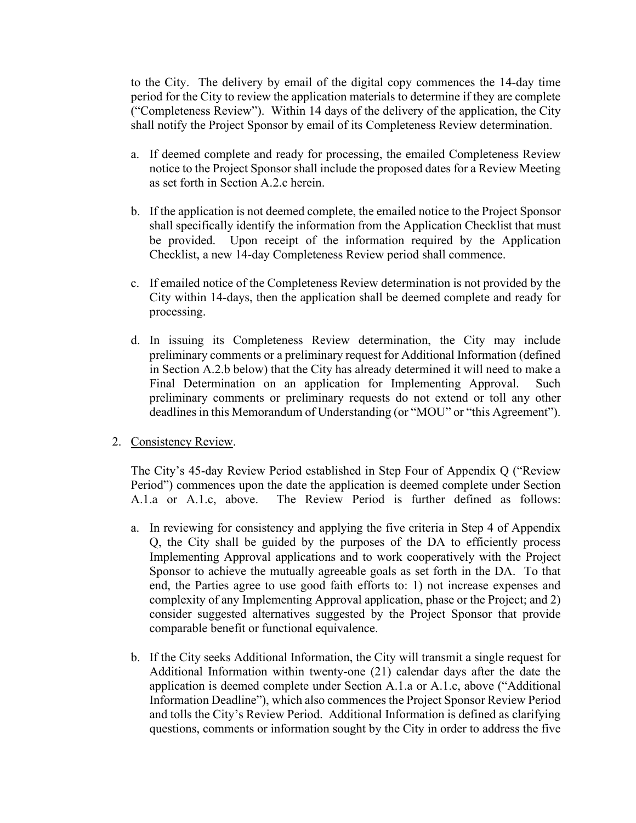to the City. The delivery by email of the digital copy commences the 14-day time period for the City to review the application materials to determine if they are complete ("Completeness Review"). Within 14 days of the delivery of the application, the City shall notify the Project Sponsor by email of its Completeness Review determination.

- a. If deemed complete and ready for processing, the emailed Completeness Review notice to the Project Sponsor shall include the proposed dates for a Review Meeting as set forth in Section A.2.c herein.
- b. If the application is not deemed complete, the emailed notice to the Project Sponsor shall specifically identify the information from the Application Checklist that must be provided. Upon receipt of the information required by the Application Checklist, a new 14-day Completeness Review period shall commence.
- c. If emailed notice of the Completeness Review determination is not provided by the City within 14-days, then the application shall be deemed complete and ready for processing.
- d. In issuing its Completeness Review determination, the City may include preliminary comments or a preliminary request for Additional Information (defined in Section A.2.b below) that the City has already determined it will need to make a Final Determination on an application for Implementing Approval. Such preliminary comments or preliminary requests do not extend or toll any other deadlines in this Memorandum of Understanding (or "MOU" or "this Agreement").

## 2. Consistency Review.

The City's 45-day Review Period established in Step Four of Appendix Q ("Review Period") commences upon the date the application is deemed complete under Section A.1.a or A.1.c, above. The Review Period is further defined as follows:

- a. In reviewing for consistency and applying the five criteria in Step 4 of Appendix Q, the City shall be guided by the purposes of the DA to efficiently process Implementing Approval applications and to work cooperatively with the Project Sponsor to achieve the mutually agreeable goals as set forth in the DA. To that end, the Parties agree to use good faith efforts to: 1) not increase expenses and complexity of any Implementing Approval application, phase or the Project; and 2) consider suggested alternatives suggested by the Project Sponsor that provide comparable benefit or functional equivalence.
- b. If the City seeks Additional Information, the City will transmit a single request for Additional Information within twenty-one (21) calendar days after the date the application is deemed complete under Section A.1.a or A.1.c, above ("Additional Information Deadline"), which also commences the Project Sponsor Review Period and tolls the City's Review Period. Additional Information is defined as clarifying questions, comments or information sought by the City in order to address the five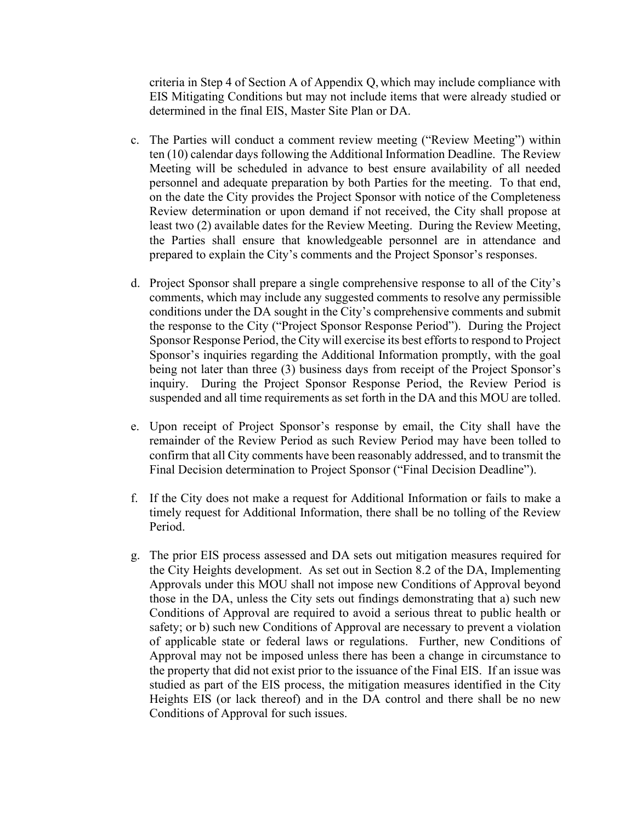criteria in Step 4 of Section A of Appendix Q, which may include compliance with EIS Mitigating Conditions but may not include items that were already studied or determined in the final EIS, Master Site Plan or DA.

- c. The Parties will conduct a comment review meeting ("Review Meeting") within ten (10) calendar days following the Additional Information Deadline. The Review Meeting will be scheduled in advance to best ensure availability of all needed personnel and adequate preparation by both Parties for the meeting. To that end, on the date the City provides the Project Sponsor with notice of the Completeness Review determination or upon demand if not received, the City shall propose at least two (2) available dates for the Review Meeting. During the Review Meeting, the Parties shall ensure that knowledgeable personnel are in attendance and prepared to explain the City's comments and the Project Sponsor's responses.
- d. Project Sponsor shall prepare a single comprehensive response to all of the City's comments, which may include any suggested comments to resolve any permissible conditions under the DA sought in the City's comprehensive comments and submit the response to the City ("Project Sponsor Response Period"). During the Project Sponsor Response Period, the City will exercise its best efforts to respond to Project Sponsor's inquiries regarding the Additional Information promptly, with the goal being not later than three (3) business days from receipt of the Project Sponsor's inquiry. During the Project Sponsor Response Period, the Review Period is suspended and all time requirements as set forth in the DA and this MOU are tolled.
- e. Upon receipt of Project Sponsor's response by email, the City shall have the remainder of the Review Period as such Review Period may have been tolled to confirm that all City comments have been reasonably addressed, and to transmit the Final Decision determination to Project Sponsor ("Final Decision Deadline").
- f. If the City does not make a request for Additional Information or fails to make a timely request for Additional Information, there shall be no tolling of the Review Period.
- g. The prior EIS process assessed and DA sets out mitigation measures required for the City Heights development. As set out in Section 8.2 of the DA, Implementing Approvals under this MOU shall not impose new Conditions of Approval beyond those in the DA, unless the City sets out findings demonstrating that a) such new Conditions of Approval are required to avoid a serious threat to public health or safety; or b) such new Conditions of Approval are necessary to prevent a violation of applicable state or federal laws or regulations. Further, new Conditions of Approval may not be imposed unless there has been a change in circumstance to the property that did not exist prior to the issuance of the Final EIS. If an issue was studied as part of the EIS process, the mitigation measures identified in the City Heights EIS (or lack thereof) and in the DA control and there shall be no new Conditions of Approval for such issues.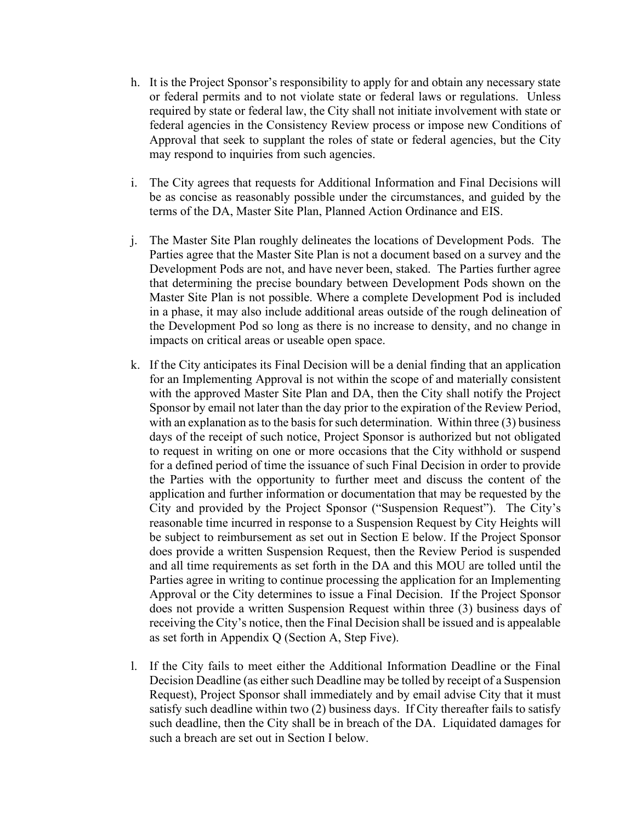- h. It is the Project Sponsor's responsibility to apply for and obtain any necessary state or federal permits and to not violate state or federal laws or regulations. Unless required by state or federal law, the City shall not initiate involvement with state or federal agencies in the Consistency Review process or impose new Conditions of Approval that seek to supplant the roles of state or federal agencies, but the City may respond to inquiries from such agencies.
- i. The City agrees that requests for Additional Information and Final Decisions will be as concise as reasonably possible under the circumstances, and guided by the terms of the DA, Master Site Plan, Planned Action Ordinance and EIS.
- j. The Master Site Plan roughly delineates the locations of Development Pods. The Parties agree that the Master Site Plan is not a document based on a survey and the Development Pods are not, and have never been, staked. The Parties further agree that determining the precise boundary between Development Pods shown on the Master Site Plan is not possible. Where a complete Development Pod is included in a phase, it may also include additional areas outside of the rough delineation of the Development Pod so long as there is no increase to density, and no change in impacts on critical areas or useable open space.
- k. If the City anticipates its Final Decision will be a denial finding that an application for an Implementing Approval is not within the scope of and materially consistent with the approved Master Site Plan and DA, then the City shall notify the Project Sponsor by email not later than the day prior to the expiration of the Review Period, with an explanation as to the basis for such determination. Within three (3) business days of the receipt of such notice, Project Sponsor is authorized but not obligated to request in writing on one or more occasions that the City withhold or suspend for a defined period of time the issuance of such Final Decision in order to provide the Parties with the opportunity to further meet and discuss the content of the application and further information or documentation that may be requested by the City and provided by the Project Sponsor ("Suspension Request"). The City's reasonable time incurred in response to a Suspension Request by City Heights will be subject to reimbursement as set out in Section E below. If the Project Sponsor does provide a written Suspension Request, then the Review Period is suspended and all time requirements as set forth in the DA and this MOU are tolled until the Parties agree in writing to continue processing the application for an Implementing Approval or the City determines to issue a Final Decision. If the Project Sponsor does not provide a written Suspension Request within three (3) business days of receiving the City's notice, then the Final Decision shall be issued and is appealable as set forth in Appendix Q (Section A, Step Five).
- l. If the City fails to meet either the Additional Information Deadline or the Final Decision Deadline (as either such Deadline may be tolled by receipt of a Suspension Request), Project Sponsor shall immediately and by email advise City that it must satisfy such deadline within two (2) business days. If City thereafter fails to satisfy such deadline, then the City shall be in breach of the DA. Liquidated damages for such a breach are set out in Section I below.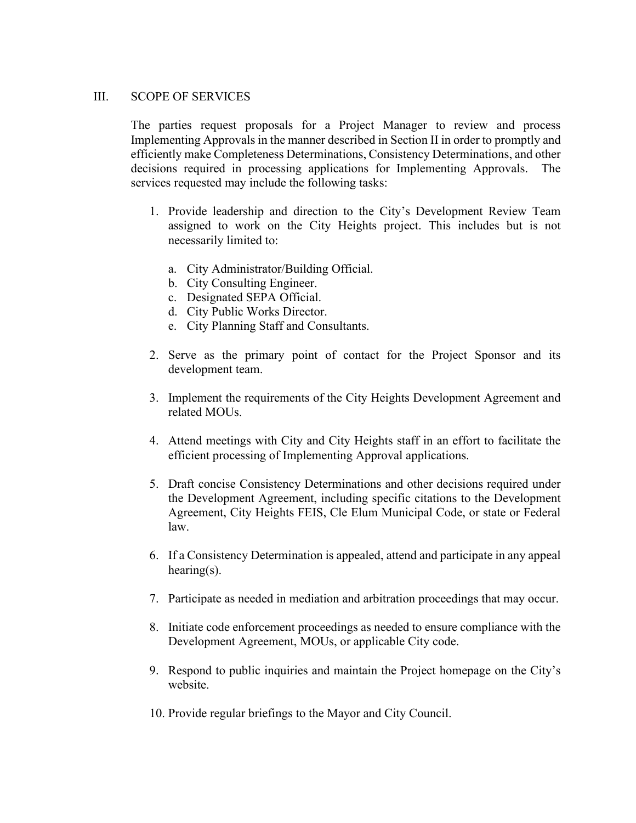#### III. SCOPE OF SERVICES

The parties request proposals for a Project Manager to review and process Implementing Approvals in the manner described in Section II in order to promptly and efficiently make Completeness Determinations, Consistency Determinations, and other decisions required in processing applications for Implementing Approvals. The services requested may include the following tasks:

- 1. Provide leadership and direction to the City's Development Review Team assigned to work on the City Heights project. This includes but is not necessarily limited to:
	- a. City Administrator/Building Official.
	- b. City Consulting Engineer.
	- c. Designated SEPA Official.
	- d. City Public Works Director.
	- e. City Planning Staff and Consultants.
- 2. Serve as the primary point of contact for the Project Sponsor and its development team.
- 3. Implement the requirements of the City Heights Development Agreement and related MOUs.
- 4. Attend meetings with City and City Heights staff in an effort to facilitate the efficient processing of Implementing Approval applications.
- 5. Draft concise Consistency Determinations and other decisions required under the Development Agreement, including specific citations to the Development Agreement, City Heights FEIS, Cle Elum Municipal Code, or state or Federal law.
- 6. If a Consistency Determination is appealed, attend and participate in any appeal hearing(s).
- 7. Participate as needed in mediation and arbitration proceedings that may occur.
- 8. Initiate code enforcement proceedings as needed to ensure compliance with the Development Agreement, MOUs, or applicable City code.
- 9. Respond to public inquiries and maintain the Project homepage on the City's website.
- 10. Provide regular briefings to the Mayor and City Council.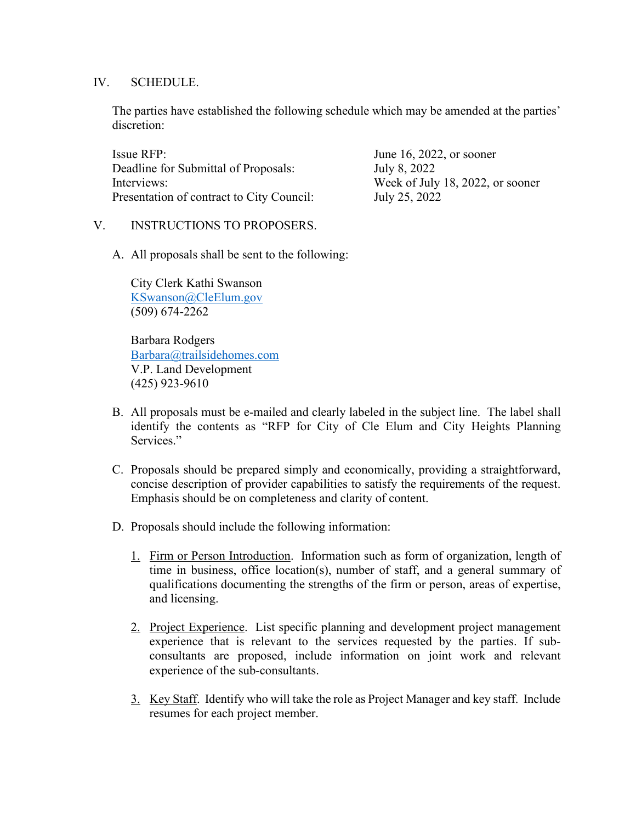### IV. SCHEDULE.

The parties have established the following schedule which may be amended at the parties' discretion:

| Issue RFP:                                | June 16, 2022, or sooner         |
|-------------------------------------------|----------------------------------|
| Deadline for Submittal of Proposals:      | July 8, 2022                     |
| Interviews:                               | Week of July 18, 2022, or sooner |
| Presentation of contract to City Council: | July 25, 2022                    |

## V. INSTRUCTIONS TO PROPOSERS.

A. All proposals shall be sent to the following:

City Clerk Kathi Swanson [KSwanson@CleElum.gov](mailto:KSwanson@CleElum.gov) (509) 674-2262

Barbara Rodgers [Barbara@trailsidehomes.com](mailto:Barbara@trailsidehomes.com) V.P. Land Development (425) 923-9610

- B. All proposals must be e-mailed and clearly labeled in the subject line. The label shall identify the contents as "RFP for City of Cle Elum and City Heights Planning Services."
- C. Proposals should be prepared simply and economically, providing a straightforward, concise description of provider capabilities to satisfy the requirements of the request. Emphasis should be on completeness and clarity of content.
- D. Proposals should include the following information:
	- 1. Firm or Person Introduction. Information such as form of organization, length of time in business, office location(s), number of staff, and a general summary of qualifications documenting the strengths of the firm or person, areas of expertise, and licensing.
	- 2. Project Experience. List specific planning and development project management experience that is relevant to the services requested by the parties. If subconsultants are proposed, include information on joint work and relevant experience of the sub-consultants.
	- 3. Key Staff. Identify who will take the role as Project Manager and key staff. Include resumes for each project member.